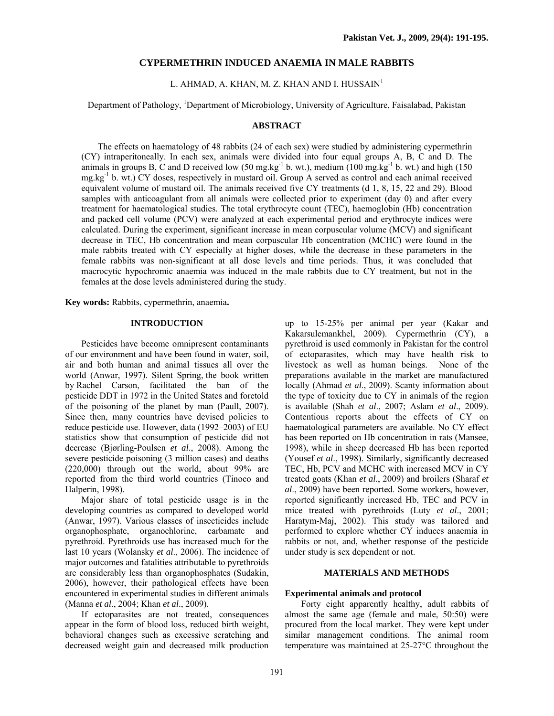## **CYPERMETHRIN INDUCED ANAEMIA IN MALE RABBITS**

L. AHMAD, A. KHAN, M. Z. KHAN AND I. HUSSAIN $^1$ 

Department of Pathology, <sup>1</sup>Department of Microbiology, University of Agriculture, Faisalabad, Pakistan

### **ABSTRACT**

The effects on haematology of 48 rabbits (24 of each sex) were studied by administering cypermethrin (CY) intraperitoneally. In each sex, animals were divided into four equal groups A, B, C and D. The animals in groups B, C and D received low (50 mg.kg<sup>-1</sup> b. wt.), medium (100 mg.kg<sup>-1</sup> b. wt.) and high (150  $mg \, \text{kg}^{-1}$  b. wt.) CY doses, respectively in mustard oil. Group A served as control and each animal received equivalent volume of mustard oil. The animals received five CY treatments (d 1, 8, 15, 22 and 29). Blood samples with anticoagulant from all animals were collected prior to experiment (day 0) and after every treatment for haematological studies. The total erythrocyte count (TEC), haemoglobin (Hb) concentration and packed cell volume (PCV) were analyzed at each experimental period and erythrocyte indices were calculated. During the experiment, significant increase in mean corpuscular volume (MCV) and significant decrease in TEC, Hb concentration and mean corpuscular Hb concentration (MCHC) were found in the male rabbits treated with CY especially at higher doses, while the decrease in these parameters in the female rabbits was non-significant at all dose levels and time periods. Thus, it was concluded that macrocytic hypochromic anaemia was induced in the male rabbits due to CY treatment, but not in the females at the dose levels administered during the study.

**Key words:** Rabbits, cypermethrin, anaemia**.** 

# **INTRODUCTION**

Pesticides have become omnipresent contaminants of our environment and have been found in water, soil, air and both human and animal tissues all over the world (Anwar, 1997). Silent Spring, the book written by Rachel Carson, facilitated the ban of the pesticide DDT in 1972 in the United States and foretold of the poisoning of the planet by man (Paull, 2007). Since then, many countries have devised policies to reduce pesticide use. However, data (1992–2003) of EU statistics show that consumption of pesticide did not decrease (Bjørling-Poulsen *et al*., 2008). Among the severe pesticide poisoning (3 million cases) and deaths (220,000) through out the world, about 99% are reported from the third world countries (Tinoco and Halperin, 1998).

Major share of total pesticide usage is in the developing countries as compared to developed world (Anwar, 1997). Various classes of insecticides include organophosphate, organochlorine, carbamate and pyrethroid. Pyrethroids use has increased much for the last 10 years (Wolansky *et al*., 2006). The incidence of major outcomes and fatalities attributable to pyrethroids are considerably less than organophosphates (Sudakin, 2006), however, their pathological effects have been encountered in experimental studies in different animals (Manna *et al*., 2004; Khan *et al*., 2009).

If ectoparasites are not treated, consequences appear in the form of blood loss, reduced birth weight, behavioral changes such as excessive scratching and decreased weight gain and decreased milk production up to 15-25% per animal per year (Kakar and Kakarsulemankhel, 2009). Cypermethrin (CY), a pyrethroid is used commonly in Pakistan for the control of ectoparasites, which may have health risk to livestock as well as human beings. None of the preparations available in the market are manufactured locally (Ahmad *et al*., 2009). Scanty information about the type of toxicity due to CY in animals of the region is available (Shah *et al*., 2007; Aslam *et al*., 2009). Contentious reports about the effects of CY on haematological parameters are available. No CY effect has been reported on Hb concentration in rats (Mansee, 1998), while in sheep decreased Hb has been reported (Yousef *et al*., 1998). Similarly, significantly decreased TEC, Hb, PCV and MCHC with increased MCV in CY treated goats (Khan *et al*., 2009) and broilers (Sharaf *et al*., 2009) have been reported. Some workers, however, reported significantly increased Hb, TEC and PCV in mice treated with pyrethroids (Luty *et al*., 2001; Haratym-Maj, 2002). This study was tailored and performed to explore whether CY induces anaemia in rabbits or not, and, whether response of the pesticide under study is sex dependent or not.

### **MATERIALS AND METHODS**

#### **Experimental animals and protocol**

Forty eight apparently healthy, adult rabbits of almost the same age (female and male, 50:50) were procured from the local market. They were kept under similar management conditions. The animal room temperature was maintained at 25-27°C throughout the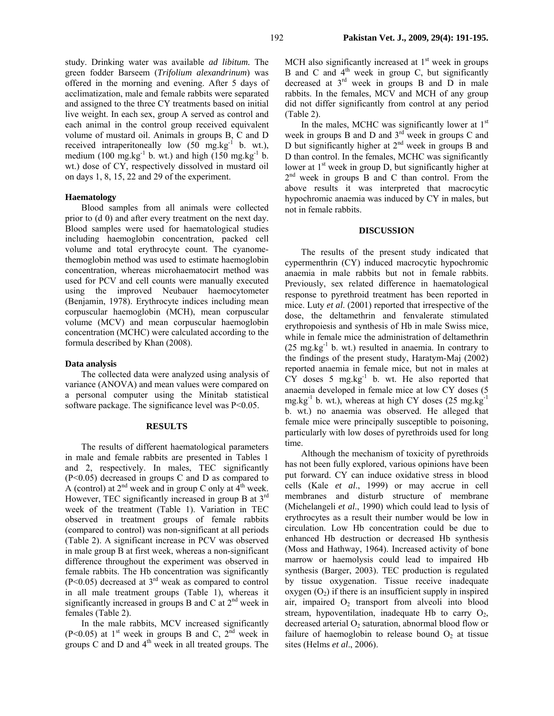study. Drinking water was available *ad libitum.* The green fodder Barseem (*Trifolium alexandrinum*) was offered in the morning and evening. After 5 days of acclimatization, male and female rabbits were separated and assigned to the three CY treatments based on initial live weight. In each sex, group A served as control and each animal in the control group received equivalent volume of mustard oil. Animals in groups B, C and D received intraperitoneally low  $(50 \text{ mg} \cdot \text{kg}^{-1} \text{ b. wt.})$ , medium (100 mg.kg $^{-1}$  b. wt.) and high (150 mg.kg $^{-1}$  b. wt.) dose of CY, respectively dissolved in mustard oil on days 1, 8, 15, 22 and 29 of the experiment.

### **Haematology**

Blood samples from all animals were collected prior to (d 0) and after every treatment on the next day. Blood samples were used for haematological studies including haemoglobin concentration, packed cell volume and total erythrocyte count. The cyanomethemoglobin method was used to estimate haemoglobin concentration, whereas microhaematocirt method was used for PCV and cell counts were manually executed using the improved Neubauer haemocytometer (Benjamin, 1978). Erythrocyte indices including mean corpuscular haemoglobin (MCH), mean corpuscular volume (MCV) and mean corpuscular haemoglobin concentration (MCHC) were calculated according to the formula described by Khan (2008).

#### **Data analysis**

The collected data were analyzed using analysis of variance (ANOVA) and mean values were compared on a personal computer using the Minitab statistical software package. The significance level was  $P<0.05$ .

### **RESULTS**

The results of different haematological parameters in male and female rabbits are presented in Tables 1 and 2, respectively. In males, TEC significantly (P<0.05) decreased in groups C and D as compared to A (control) at  $2^{nd}$  week and in group C only at  $4^{th}$  week. However, TEC significantly increased in group B at  $3<sup>rd</sup>$ week of the treatment (Table 1). Variation in TEC observed in treatment groups of female rabbits (compared to control) was non-significant at all periods (Table 2). A significant increase in PCV was observed in male group B at first week, whereas a non-significant difference throughout the experiment was observed in female rabbits. The Hb concentration was significantly (P<0.05) decreased at 3rd weak as compared to control in all male treatment groups (Table 1), whereas it significantly increased in groups B and C at  $2<sup>nd</sup>$  week in females (Table 2).

In the male rabbits, MCV increased significantly (P<0.05) at 1<sup>st</sup> week in groups B and C,  $2<sup>nd</sup>$  week in groups  $\dot{C}$  and  $\dot{D}$  and  $4<sup>th</sup>$  week in all treated groups. The MCH also significantly increased at  $1<sup>st</sup>$  week in groups B and C and  $4<sup>th</sup>$  week in group C, but significantly decreased at  $3<sup>rd</sup>$  week in groups B and D in male rabbits. In the females, MCV and MCH of any group did not differ significantly from control at any period (Table 2).

In the males, MCHC was significantly lower at  $1<sup>st</sup>$ week in groups B and D and 3<sup>rd</sup> week in groups C and D but significantly higher at  $2<sup>nd</sup>$  week in groups B and D than control. In the females, MCHC was significantly lower at 1<sup>st</sup> week in group D, but significantly higher at  $2<sup>nd</sup>$  week in groups B and C than control. From the above results it was interpreted that macrocytic hypochromic anaemia was induced by CY in males, but not in female rabbits.

#### **DISCUSSION**

The results of the present study indicated that cypermenthrin (CY) induced macrocytic hypochromic anaemia in male rabbits but not in female rabbits. Previously, sex related difference in haematological response to pyrethroid treatment has been reported in mice. Luty *et al*. (2001) reported that irrespective of the dose, the deltamethrin and fenvalerate stimulated erythropoiesis and synthesis of Hb in male Swiss mice, while in female mice the administration of deltamethrin  $(25 \text{ mg} \cdot \text{kg}^{-1} \text{ b. wt.})$  resulted in anaemia. In contrary to the findings of the present study, Haratym-Maj (2002) reported anaemia in female mice, but not in males at  $CY$  doses 5 mg.kg $^{-1}$  b. wt. He also reported that anaemia developed in female mice at low CY doses (5  $mg/kg^{-1}$  b. wt.), whereas at high CY doses (25 mg.kg<sup>-1</sup>) b. wt.) no anaemia was observed. He alleged that female mice were principally susceptible to poisoning, particularly with low doses of pyrethroids used for long time.

Although the mechanism of toxicity of pyrethroids has not been fully explored, various opinions have been put forward. CY can induce oxidative stress in blood cells (Kale *et al*., 1999) or may accrue in cell membranes and disturb structure of membrane (Michelangeli *et al*., 1990) which could lead to lysis of erythrocytes as a result their number would be low in circulation. Low Hb concentration could be due to enhanced Hb destruction or decreased Hb synthesis (Moss and Hathway, 1964). Increased activity of bone marrow or haemolysis could lead to impaired Hb synthesis (Barger, 2003). TEC production is regulated by tissue oxygenation. Tissue receive inadequate oxygen  $(O_2)$  if there is an insufficient supply in inspired air, impaired  $O_2$  transport from alveoli into blood stream, hypoventilation, inadequate Hb to carry  $O_2$ , decreased arterial  $O<sub>2</sub>$  saturation, abnormal blood flow or failure of haemoglobin to release bound  $O_2$  at tissue sites (Helms *et al*., 2006).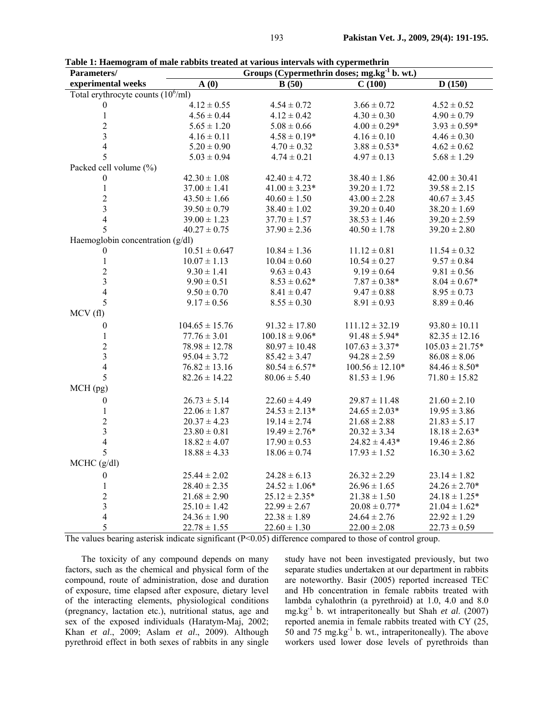| Parameters/                                 | Groups (Cypermethrin doses; mg.kg <sup>-1</sup> b. wt.) |                    |                     |                     |  |  |
|---------------------------------------------|---------------------------------------------------------|--------------------|---------------------|---------------------|--|--|
| experimental weeks                          | A(0)                                                    | B(50)              | C(100)              | D(150)              |  |  |
| Total erythrocyte counts $(10^6/\text{ml})$ |                                                         |                    |                     |                     |  |  |
| $\boldsymbol{0}$                            | $4.12 \pm 0.55$                                         | $4.54 \pm 0.72$    | $3.66 \pm 0.72$     | $4.52 \pm 0.52$     |  |  |
| $\mathbf{1}$                                | $4.56 \pm 0.44$                                         | $4.12 \pm 0.42$    | $4.30 \pm 0.30$     | $4.90 \pm 0.79$     |  |  |
| $\frac{2}{3}$                               | $5.65 \pm 1.20$                                         | $5.08 \pm 0.66$    | $4.00 \pm 0.29*$    | $3.93 \pm 0.59*$    |  |  |
|                                             | $4.16 \pm 0.11$                                         | $4.58 \pm 0.19*$   | $4.16 \pm 0.10$     | $4.46 \pm 0.30$     |  |  |
| $\overline{4}$                              | $5.20 \pm 0.90$                                         | $4.70 \pm 0.32$    | $3.88 \pm 0.53*$    | $4.62 \pm 0.62$     |  |  |
| 5                                           | $5.03 \pm 0.94$                                         | $4.74 \pm 0.21$    | $4.97 \pm 0.13$     | $5.68 \pm 1.29$     |  |  |
| Packed cell volume (%)                      |                                                         |                    |                     |                     |  |  |
| $\boldsymbol{0}$                            | $42.30 \pm 1.08$                                        | $42.40 \pm 4.72$   | $38.40 \pm 1.86$    | $42.00 \pm 30.41$   |  |  |
| $\,1\,$                                     | $37.00 \pm 1.41$                                        | $41.00 \pm 3.23*$  | $39.20 \pm 1.72$    | $39.58 \pm 2.15$    |  |  |
| $\overline{c}$                              | $43.50 \pm 1.66$                                        | $40.60 \pm 1.50$   | $43.00 \pm 2.28$    | $40.67 \pm 3.45$    |  |  |
| $\overline{3}$                              | $39.50 \pm 0.79$                                        | $38.40 \pm 1.02$   | $39.20 \pm 0.40$    | $38.20 \pm 1.69$    |  |  |
| $\overline{4}$                              | $39.00 \pm 1.23$                                        | $37.70 \pm 1.57$   | $38.53 \pm 1.46$    | $39.20 \pm 2.59$    |  |  |
| 5                                           | $40.27 \pm 0.75$                                        | $37.90 \pm 2.36$   | $40.50 \pm 1.78$    | $39.20 \pm 2.80$    |  |  |
| Haemoglobin concentration (g/dl)            |                                                         |                    |                     |                     |  |  |
| $\boldsymbol{0}$                            | $10.51 \pm 0.647$                                       | $10.84 \pm 1.36$   | $11.12 \pm 0.81$    | $11.54 \pm 0.32$    |  |  |
| $\mathbf{1}$                                | $10.07 \pm 1.13$                                        | $10.04 \pm 0.60$   | $10.54 \pm 0.27$    | $9.57 \pm 0.84$     |  |  |
| $\overline{c}$                              | $9.30 \pm 1.41$                                         | $9.63 \pm 0.43$    | $9.19 \pm 0.64$     | $9.81 \pm 0.56$     |  |  |
| $\overline{\mathbf{3}}$                     | $9.90 \pm 0.51$                                         | $8.53 \pm 0.62*$   | $7.87 \pm 0.38*$    | $8.04 \pm 0.67*$    |  |  |
| $\overline{4}$                              | $9.50 \pm 0.70$                                         | $8.41 \pm 0.47$    | $9.47 \pm 0.88$     | $8.95 \pm 0.73$     |  |  |
| 5                                           | $9.17 \pm 0.56$                                         | $8.55 \pm 0.30$    | $8.91 \pm 0.93$     | $8.89 \pm 0.46$     |  |  |
| MCV(f)                                      |                                                         |                    |                     |                     |  |  |
| $\boldsymbol{0}$                            | $104.65 \pm 15.76$                                      | $91.32 \pm 17.80$  | $111.12 \pm 32.19$  | $93.80 \pm 10.11$   |  |  |
| $\,1$                                       | $77.76 \pm 3.01$                                        | $100.18 \pm 9.06*$ | $91.48 \pm 5.94*$   | $82.35 \pm 12.16$   |  |  |
| $\overline{c}$                              | $78.98 \pm 12.78$                                       | $80.97 \pm 10.48$  | $107.63 \pm 3.37*$  | $105.03 \pm 21.75*$ |  |  |
| $\overline{\mathbf{3}}$                     | $95.04 \pm 3.72$                                        | $85.42 \pm 3.47$   | $94.28 \pm 2.59$    | $86.08 \pm 8.06$    |  |  |
| $\overline{4}$                              | $76.82 \pm 13.16$                                       | $80.54 \pm 6.57*$  | $100.56 \pm 12.10*$ | $84.46 \pm 8.50*$   |  |  |
| 5                                           | $82.26 \pm 14.22$                                       | $80.06 \pm 5.40$   | $81.53 \pm 1.96$    | $71.80 \pm 15.82$   |  |  |
| MCH (pg)                                    |                                                         |                    |                     |                     |  |  |
| $\boldsymbol{0}$                            | $26.73 \pm 5.14$                                        | $22.60 \pm 4.49$   | $29.87 \pm 11.48$   | $21.60 \pm 2.10$    |  |  |
| $\mathbf{1}$                                | $22.06 \pm 1.87$                                        | $24.53 \pm 2.13*$  | $24.65 \pm 2.03*$   | $19.95 \pm 3.86$    |  |  |
| $\overline{c}$                              | $20.37 \pm 4.23$                                        | $19.14 \pm 2.74$   | $21.68 \pm 2.88$    | $21.83 \pm 5.17$    |  |  |
| $\overline{3}$                              | $23.80 \pm 0.81$                                        | $19.49 \pm 2.76*$  | $20.32 \pm 3.34$    | $18.18 \pm 2.63*$   |  |  |
| $\overline{4}$                              | $18.82 \pm 4.07$                                        | $17.90 \pm 0.53$   | $24.82 \pm 4.43*$   | $19.46 \pm 2.86$    |  |  |
| 5                                           | $18.88 \pm 4.33$                                        | $18.06 \pm 0.74$   | $17.93 \pm 1.52$    | $16.30 \pm 3.62$    |  |  |
| MCHC (g/dl)                                 |                                                         |                    |                     |                     |  |  |
| $\boldsymbol{0}$                            | $25.44 \pm 2.02$                                        | $24.28 \pm 6.13$   | $26.32 \pm 2.29$    | $23.14 \pm 1.82$    |  |  |
| $\mathbf{1}$                                | $28.40 \pm 2.35$                                        | $24.52 \pm 1.06*$  | $26.96 \pm 1.65$    | $24.26 \pm 2.70*$   |  |  |
| $\overline{c}$                              | $21.68 \pm 2.90$                                        | $25.12 \pm 2.35*$  | $21.38 \pm 1.50$    | $24.18 \pm 1.25*$   |  |  |
|                                             | $25.10 \pm 1.42$                                        | $22.99 \pm 2.67$   | $20.08 \pm 0.77*$   | $21.04 \pm 1.62*$   |  |  |
| $\frac{3}{4}$                               | $24.36 \pm 1.90$                                        | $22.38 \pm 1.89$   | $24.64 \pm 2.76$    | $22.92 \pm 1.29$    |  |  |
| 5                                           | $22.78 \pm 1.55$                                        | $22.60 \pm 1.30$   | $22.00 \pm 2.08$    | $22.73 \pm 0.59$    |  |  |

**Table 1: Haemogram of male rabbits treated at various intervals with cypermethrin** 

The values bearing asterisk indicate significant  $(P<0.05)$  difference compared to those of control group.

The toxicity of any compound depends on many factors, such as the chemical and physical form of the compound, route of administration, dose and duration of exposure, time elapsed after exposure, dietary level of the interacting elements, physiological conditions (pregnancy, lactation etc.), nutritional status, age and sex of the exposed individuals (Haratym-Maj, 2002; Khan *et al*., 2009; Aslam *et al*., 2009). Although pyrethroid effect in both sexes of rabbits in any single

study have not been investigated previously, but two separate studies undertaken at our department in rabbits are noteworthy. Basir (2005) reported increased TEC and Hb concentration in female rabbits treated with lambda cyhalothrin (a pyrethroid) at 1.0, 4.0 and 8.0 mg.kg-1 b. wt intraperitoneally but Shah *et al*. (2007) reported anemia in female rabbits treated with CY (25, 50 and 75 mg.kg $^{-1}$  b. wt., intraperitoneally). The above workers used lower dose levels of pyrethroids than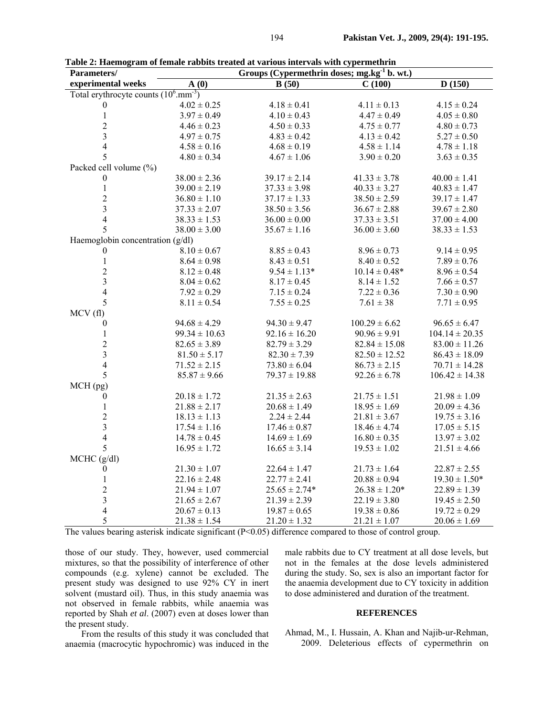| Parameters/                                      | radic 2. Hachiogram of ichiaic radiolis treated at various micr vais with cypermethrin<br>Groups (Cypermethrin doses; mg.kg $1$ b. wt.) |                   |                   |                    |  |  |  |
|--------------------------------------------------|-----------------------------------------------------------------------------------------------------------------------------------------|-------------------|-------------------|--------------------|--|--|--|
| experimental weeks                               | $\mathbf{A}(0)$                                                                                                                         | B(50)             | C(100)            | D(150)             |  |  |  |
| Total erythrocyte counts $(10^6 \text{mm}^{-3})$ |                                                                                                                                         |                   |                   |                    |  |  |  |
| $\theta$                                         | $4.02 \pm 0.25$                                                                                                                         | $4.18 \pm 0.41$   | $4.11 \pm 0.13$   | $4.15 \pm 0.24$    |  |  |  |
| $\mathbf{1}$                                     | $3.97 \pm 0.49$                                                                                                                         | $4.10 \pm 0.43$   | $4.47 \pm 0.49$   | $4.05 \pm 0.80$    |  |  |  |
| $\overline{c}$                                   | $4.46 \pm 0.23$                                                                                                                         | $4.50 \pm 0.33$   | $4.75 \pm 0.77$   | $4.80 \pm 0.73$    |  |  |  |
| $\overline{3}$                                   | $4.97 \pm 0.75$                                                                                                                         | $4.83 \pm 0.42$   | $4.13 \pm 0.42$   | $5.27 \pm 0.50$    |  |  |  |
| $\overline{4}$                                   | $4.58 \pm 0.16$                                                                                                                         | $4.68 \pm 0.19$   | $4.58 \pm 1.14$   | $4.78 \pm 1.18$    |  |  |  |
| 5                                                | $4.80 \pm 0.34$                                                                                                                         | $4.67 \pm 1.06$   | $3.90 \pm 0.20$   | $3.63 \pm 0.35$    |  |  |  |
| Packed cell volume (%)                           |                                                                                                                                         |                   |                   |                    |  |  |  |
| $\boldsymbol{0}$                                 | $38.00 \pm 2.36$                                                                                                                        | $39.17 \pm 2.14$  | $41.33 \pm 3.78$  | $40.00 \pm 1.41$   |  |  |  |
| $\,1$                                            | $39.00 \pm 2.19$                                                                                                                        | $37.33 \pm 3.98$  | $40.33 \pm 3.27$  | $40.83 \pm 1.47$   |  |  |  |
| $\overline{c}$                                   | $36.80 \pm 1.10$                                                                                                                        | $37.17 \pm 1.33$  | $38.50 \pm 2.59$  | $39.17 \pm 1.47$   |  |  |  |
| $\overline{\mathbf{3}}$                          | $37.33 \pm 2.07$                                                                                                                        | $38.50 \pm 3.56$  | $36.67 \pm 2.88$  | $39.67 \pm 2.80$   |  |  |  |
| $\overline{4}$                                   | $38.33 \pm 1.53$                                                                                                                        | $36.00 \pm 0.00$  | $37.33 \pm 3.51$  | $37.00 \pm 4.00$   |  |  |  |
| 5                                                | $38.00 \pm 3.00$                                                                                                                        | $35.67 \pm 1.16$  | $36.00 \pm 3.60$  | $38.33 \pm 1.53$   |  |  |  |
| Haemoglobin concentration (g/dl)                 |                                                                                                                                         |                   |                   |                    |  |  |  |
| $\boldsymbol{0}$                                 | $8.10 \pm 0.67$                                                                                                                         | $8.85 \pm 0.43$   | $8.96 \pm 0.73$   | $9.14 \pm 0.95$    |  |  |  |
| $\mathbf{1}$                                     | $8.64\pm0.98$                                                                                                                           | $8.43 \pm 0.51$   | $8.40 \pm 0.52$   | $7.89 \pm 0.76$    |  |  |  |
| $\overline{c}$                                   | $8.12 \pm 0.48$                                                                                                                         | $9.54 \pm 1.13*$  | $10.14 \pm 0.48*$ | $8.96 \pm 0.54$    |  |  |  |
| $\overline{\mathbf{3}}$                          | $8.04 \pm 0.62$                                                                                                                         | $8.17 \pm 0.45$   | $8.14 \pm 1.52$   | $7.66 \pm 0.57$    |  |  |  |
| $\overline{4}$                                   | $7.92 \pm 0.29$                                                                                                                         | $7.15 \pm 0.24$   | $7.22 \pm 0.36$   | $7.30 \pm 0.90$    |  |  |  |
| 5                                                | $8.11 \pm 0.54$                                                                                                                         | $7.55 \pm 0.25$   | $7.61 \pm 38$     | $7.71 \pm 0.95$    |  |  |  |
| MCV(f)                                           |                                                                                                                                         |                   |                   |                    |  |  |  |
| $\boldsymbol{0}$                                 | $94.68 \pm 4.29$                                                                                                                        | $94.30 \pm 9.47$  | $100.29 \pm 6.62$ | $96.65 \pm 6.47$   |  |  |  |
| $\mathbf{1}$                                     | $99.34 \pm 10.63$                                                                                                                       | $92.16 \pm 16.20$ | $90.96 \pm 9.91$  | $104.14 \pm 20.35$ |  |  |  |
| $\overline{c}$                                   | $82.65 \pm 3.89$                                                                                                                        | $82.79 \pm 3.29$  | $82.84 \pm 15.08$ | $83.00 \pm 11.26$  |  |  |  |
| $\mathfrak{Z}$                                   | $81.50 \pm 5.17$                                                                                                                        | $82.30 \pm 7.39$  | $82.50 \pm 12.52$ | $86.43 \pm 18.09$  |  |  |  |
| $\overline{4}$                                   | $71.52 \pm 2.15$                                                                                                                        | $73.80 \pm 6.04$  | $86.73 \pm 2.15$  | $70.71 \pm 14.28$  |  |  |  |
| 5                                                | $85.87 \pm 9.66$                                                                                                                        | $79.37 \pm 19.88$ | $92.26 \pm 6.78$  | $106.42 \pm 14.38$ |  |  |  |
| MCH (pg)                                         |                                                                                                                                         |                   |                   |                    |  |  |  |
| $\boldsymbol{0}$                                 | $20.18 \pm 1.72$                                                                                                                        | $21.35 \pm 2.63$  | $21.75 \pm 1.51$  | $21.98 \pm 1.09$   |  |  |  |
| $\mathbf{1}$                                     | $21.88 \pm 2.17$                                                                                                                        | $20.68 \pm 1.49$  | $18.95 \pm 1.69$  | $20.09 \pm 4.36$   |  |  |  |
| $\overline{\mathbf{c}}$                          | $18.13 \pm 1.13$                                                                                                                        | $2.24 \pm 2.44$   | $21.81 \pm 3.67$  | $19.75 \pm 3.16$   |  |  |  |
| $\overline{\mathbf{3}}$                          | $17.54 \pm 1.16$                                                                                                                        | $17.46 \pm 0.87$  | $18.46 \pm 4.74$  | $17.05 \pm 5.15$   |  |  |  |
| $\overline{4}$                                   | $14.78 \pm 0.45$                                                                                                                        | $14.69 \pm 1.69$  | $16.80 \pm 0.35$  | $13.97 \pm 3.02$   |  |  |  |
| 5                                                | $16.95 \pm 1.72$                                                                                                                        | $16.65 \pm 3.14$  | $19.53 \pm 1.02$  | $21.51 \pm 4.66$   |  |  |  |
| MCHC (g/dl)                                      |                                                                                                                                         |                   |                   |                    |  |  |  |
| $\boldsymbol{0}$                                 | $21.30 \pm 1.07$                                                                                                                        | $22.64 \pm 1.47$  | $21.73 \pm 1.64$  | $22.87 \pm 2.55$   |  |  |  |
| 1                                                | $22.16 \pm 2.48$                                                                                                                        | $22.77 \pm 2.41$  | $20.88 \pm 0.94$  | $19.30 \pm 1.50*$  |  |  |  |
| $\overline{c}$                                   | $21.94 \pm 1.07$                                                                                                                        | $25.65 \pm 2.74*$ | $26.38 \pm 1.20*$ | $22.89 \pm 1.39$   |  |  |  |
| $\overline{\mathbf{3}}$                          | $21.65 \pm 2.67$                                                                                                                        | $21.39 \pm 2.39$  | $22.19 \pm 3.80$  | $19.45 \pm 2.50$   |  |  |  |
| $\overline{4}$                                   | $20.67 \pm 0.13$                                                                                                                        | $19.87 \pm 0.65$  | $19.38 \pm 0.86$  | $19.72 \pm 0.29$   |  |  |  |
| 5                                                | $21.38 \pm 1.54$                                                                                                                        | $21.20 \pm 1.32$  | $21.21 \pm 1.07$  | $20.06 \pm 1.69$   |  |  |  |

**Table 2: Haemogram of female rabbits treated at various intervals with cypermethrin** 

The values bearing asterisk indicate significant (P<0.05) difference compared to those of control group.

those of our study. They, however, used commercial mixtures, so that the possibility of interference of other compounds (e.g. xylene) cannot be excluded. The present study was designed to use 92% CY in inert solvent (mustard oil). Thus, in this study anaemia was not observed in female rabbits, while anaemia was reported by Shah *et al*. (2007) even at doses lower than the present study.

male rabbits due to CY treatment at all dose levels, but not in the females at the dose levels administered during the study. So, sex is also an important factor for the anaemia development due to CY toxicity in addition to dose administered and duration of the treatment.

#### **REFERENCES**

From the results of this study it was concluded that anaemia (macrocytic hypochromic) was induced in the

Ahmad, M., I. Hussain, A. Khan and Najib-ur-Rehman, 2009. Deleterious effects of cypermethrin on